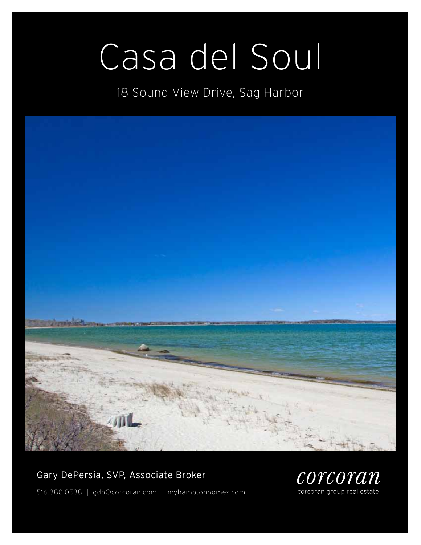# Casa del Soul

18 Sound View Drive, Sag Harbor



## Gary DePersia, SVP, Associate Broker



516.380.0538 | gdp@corcoran.com | myhamptonhomes.com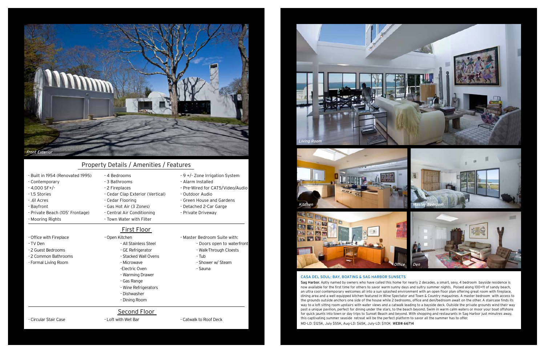## Casa del Soul: Bay, Boating & Sag Harbor Sunsets

Sag Harbor. Aptly named by owners who have called this home for nearly 2 decades, a smart, sexy, 4 bedroom bayside residence is now available for the first time for others to savor warm sunny days and sultry summer nights. Poised along 100+ft of sandy beach, an ultra cool contemporary welcomes all into a sun splashed environment with an open floor plan offering great room with fireplace, dining area and a well equipped kitchen featured in Wine Spectator and Town & Country magazines. A master bedroom with access to the grounds outside anchors one side of the house while 2 bedrooms, office and den/bedroom await on the other. A staircase finds its way to a loft sittng room upstairs with water views and a catwalk leading to a bayside deck. Outside the private grounds wind their way past a unique pavilion, perfect for dining under the stars, to the beach beyond. Swim in warm calm waters or moor your boat offshore for quick jaunts into town or day trips to Sunset Beach and beyond. With shopping and restaurants in Sag Harbor just minutres away, this captivating summer seaside retreat will be the perfect platform to savor all the summer has to offer. MD-LD: \$125K, July \$55K, Aug-LD: \$65K, July-LD: \$110K WEB# 66714





- Built in 1954 (Renovated 1995)

# - 4 Bedrooms

- 3 Bathrooms
- 2 Fireplaces
- Cedar Clap Exterior (Vertical)
- Cedar Flooring - Gas Hot Air (3 Zones)
- Central Air Conditioning
- Town Water with Filter
- Contemporary
- 4,000 SF+/-
- 1.5 Stories
- .61 Acres
- Bayfront
- Private Beach (105' Frontage)
- Mooring Rights
- Office with Fireplace
- TV Den
- 2 Guest Bedrooms
- 2 Common Bathrooms
- Formal Living Room

- 9 +/- Zone Irrigation System

- Alarm Installed

- Pre-Wired for CAT5/Video/Audio

- Outdoor Audio

- Green House and Gardens
- Detached 2-Car Garge

- Private Driveway

## Property Details / Amenities / Features

- Open Kitchen
	- All Stainless Steel
	- GE Refrigerator
	- Stacked Wall Ovens
	- Microwave
	- -Electric Oven
	- Warming Drawer
	- Gas Range
	- Wine Refrigerators
	- Dishwasher
	-

- Master Bedroom Suite with:

- Doors open to waterfront
- Walk-Through Cloests
- Tub
- Shower w/ Steam
- 
- Sauna
- 
- 
- 
- Dining Room
- 

## First Floor

## Second Floor

- Circular Stair Case The State of Loft with Wet Bar The State of Catwalk to Roof Deck

# Living Room